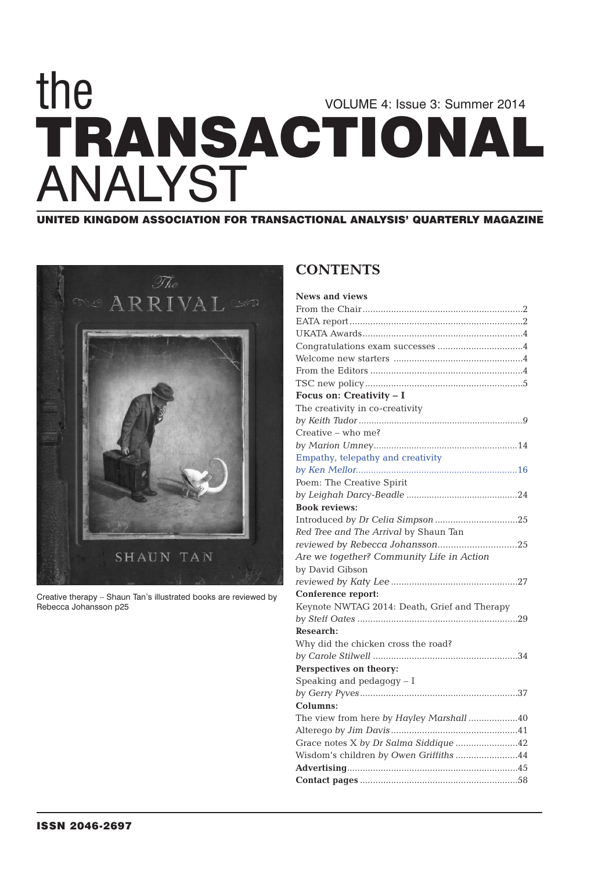## **TRANSACTIONAL** VOLUME 4: Issue 3: Summer 2014 the ANALYST

**UNITED KINGDOM ASSOCIATION FOR TRANSACTIONAL ANALYSIS' QUARTERLY MAGAZINE**



Creative therapy – Shaun Tan's illustrated books are reviewed by Rebecca Johansson p25

## **CONTENTS**

| <b>News and views</b>                        |
|----------------------------------------------|
|                                              |
|                                              |
|                                              |
|                                              |
|                                              |
|                                              |
|                                              |
| Focus on: Creativity - I                     |
| The creativity in co-creativity              |
|                                              |
| Creative – who me?                           |
|                                              |
| Empathy, telepathy and creativity            |
|                                              |
| Poem: The Creative Spirit                    |
|                                              |
| <b>Book reviews:</b>                         |
|                                              |
| Red Tree and The Arrival by Shaun Tan        |
|                                              |
| Are we together? Community Life in Action    |
| by David Gibson                              |
|                                              |
| Conference report:                           |
| Keynote NWTAG 2014: Death, Grief and Therapy |
|                                              |
| <b>Research:</b>                             |
| Why did the chicken cross the road?          |
|                                              |
| Perspectives on theory:                      |
| Speaking and pedagogy - I                    |
|                                              |
| Columns:                                     |
| The view from here by Hayley Marshall 40     |
|                                              |
| Grace notes X by Dr Salma Siddique 42        |
| Wisdom's children by Owen Griffiths 44       |
|                                              |
|                                              |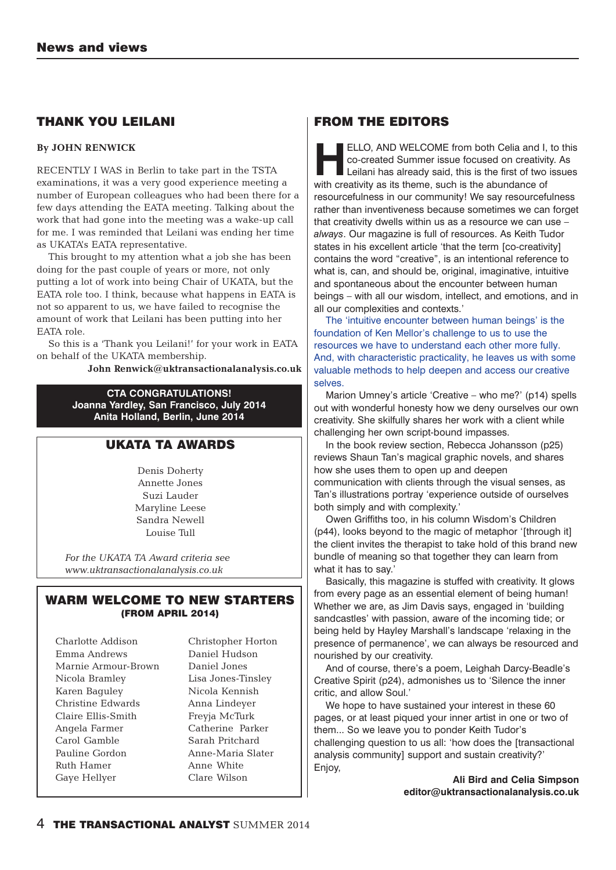## **THANK YOU LEILANI**

#### **By JOHN RENWICK**

RECENTLY I WAS in Berlin to take part in the TSTA examinations, it was a very good experience meeting a number of European colleagues who had been there for a few days attending the EATA meeting. Talking about the work that had gone into the meeting was a wake-up call for me. I was reminded that Leilani was ending her time as UKATA's EATA representative.

This brought to my attention what a job she has been doing for the past couple of years or more, not only putting a lot of work into being Chair of UKATA, but the EATA role too. I think, because what happens in EATA is not so apparent to us, we have failed to recognise the amount of work that Leilani has been putting into her EATA role.

So this is a 'Thank you Leilani!' for your work in EATA on behalf of the UKATA membership.

**John Renwick@uktransactionalanalysis.co.uk**

**CTA CONGRATULATIONS! Joanna Yardley, San Francisco, July 2014 Anita Holland, Berlin, June 2014**

## **UKATA TA AWARDS**

Denis Doherty Annette Jones Suzi Lauder Maryline Leese Sandra Newell Louise Tull

*For the UKATA TA Award criteria see www.uktransactionalanalysis.co.uk*

#### **WARM WELCOME TO NEW STARTERS (FROM APRIL 2014)**

Charlotte Addison Emma Andrews Marnie Armour-Brown Nicola Bramley Karen Baguley Christine Edwards Claire Ellis-Smith Angela Farmer Carol Gamble Pauline Gordon Ruth Hamer Gaye Hellyer

Christopher Horton Daniel Hudson Daniel Jones Lisa Jones-Tinsley Nicola Kennish Anna Lindeyer Freyja McTurk Catherine Parker Sarah Pritchard Anne-Maria Slater Anne White Clare Wilson

### **FROM THE EDITORS**

**HELLO, AND WELCOME** from both Celia and I, to this<br>
co-created Summer issue focused on creativity. As<br>
Leilani has already said, this is the first of two issues<br>
with creativity as its theme, such is the abundance of co-created Summer issue focused on creativity. As with creativity as its theme, such is the abundance of resourcefulness in our community! We say resourcefulness rather than inventiveness because sometimes we can forget that creativity dwells within us as a resource we can use – *always*. Our magazine is full of resources. As Keith Tudor states in his excellent article 'that the term [co-creativity] contains the word "creative", is an intentional reference to what is, can, and should be, original, imaginative, intuitive and spontaneous about the encounter between human beings – with all our wisdom, intellect, and emotions, and in all our complexities and contexts.'

The 'intuitive encounter between human beings' is the foundation of Ken Mellor's challenge to us to use the resources we have to understand each other more fully. And, with characteristic practicality, he leaves us with some valuable methods to help deepen and access our creative selves.

Marion Umney's article 'Creative – who me?' (p14) spells out with wonderful honesty how we deny ourselves our own creativity. She skilfully shares her work with a client while challenging her own script-bound impasses.

In the book review section, Rebecca Johansson (p25) reviews Shaun Tan's magical graphic novels, and shares how she uses them to open up and deepen communication with clients through the visual senses, as Tan's illustrations portray 'experience outside of ourselves both simply and with complexity.'

Owen Griffiths too, in his column Wisdom's Children (p44), looks beyond to the magic of metaphor '[through it] the client invites the therapist to take hold of this brand new bundle of meaning so that together they can learn from what it has to say.'

Basically, this magazine is stuffed with creativity. It glows from every page as an essential element of being human! Whether we are, as Jim Davis says, engaged in 'building sandcastles' with passion, aware of the incoming tide; or being held by Hayley Marshall's landscape 'relaxing in the presence of permanence', we can always be resourced and nourished by our creativity.

And of course, there's a poem, Leighah Darcy-Beadle's Creative Spirit (p24), admonishes us to 'Silence the inner critic, and allow Soul.'

We hope to have sustained your interest in these 60 pages, or at least piqued your inner artist in one or two of them... So we leave you to ponder Keith Tudor's challenging question to us all: 'how does the [transactional analysis community] support and sustain creativity?' Enjoy,

> **Ali Bird and Celia Simpson editor@uktransactionalanalysis.co.uk**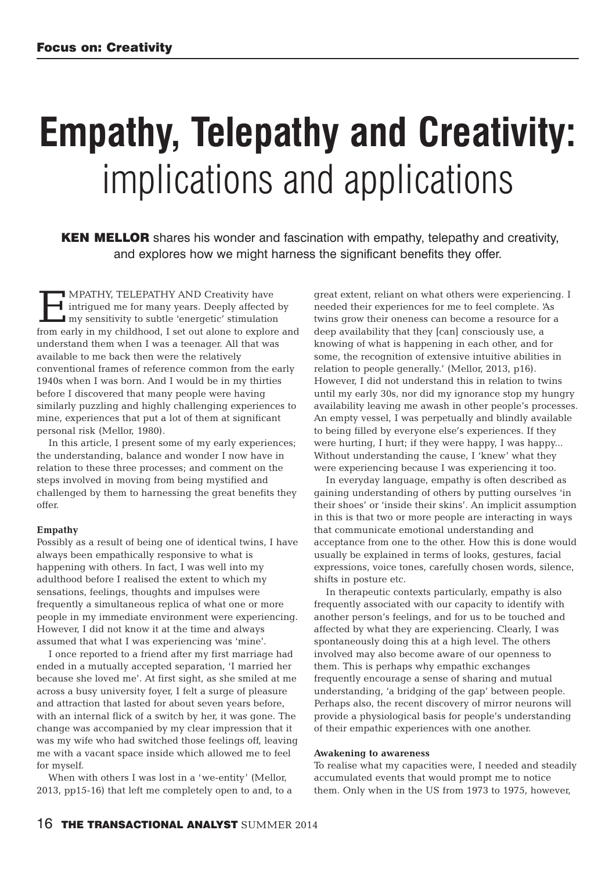# **Empathy, Telepathy and Creativity:** implications and applications

**KEN MELLOR** shares his wonder and fascination with empathy, telepathy and creativity, and explores how we might harness the significant benefits they offer.

MPATHY, TELEPATHY AND Creativity have<br>intrigued me for many years. Deeply affected<br>in my sensitivity to subtle 'energetic' stimulation<br>from early in my childhood. I set out alone to explore intrigued me for many years. Deeply affected by my sensitivity to subtle 'energetic' stimulation from early in my childhood, I set out alone to explore and understand them when I was a teenager. All that was available to me back then were the relatively conventional frames of reference common from the early 1940s when I was born. And I would be in my thirties before I discovered that many people were having similarly puzzling and highly challenging experiences to mine, experiences that put a lot of them at significant personal risk (Mellor, 1980).

In this article, I present some of my early experiences; the understanding, balance and wonder I now have in relation to these three processes; and comment on the steps involved in moving from being mystified and challenged by them to harnessing the great benefits they offer.

#### **Empathy**

Possibly as a result of being one of identical twins, I have always been empathically responsive to what is happening with others. In fact, I was well into my adulthood before I realised the extent to which my sensations, feelings, thoughts and impulses were frequently a simultaneous replica of what one or more people in my immediate environment were experiencing. However, I did not know it at the time and always assumed that what I was experiencing was 'mine'.

I once reported to a friend after my first marriage had ended in a mutually accepted separation, 'I married her because she loved me'. At first sight, as she smiled at me across a busy university foyer, I felt a surge of pleasure and attraction that lasted for about seven years before, with an internal flick of a switch by her, it was gone. The change was accompanied by my clear impression that it was my wife who had switched those feelings off, leaving me with a vacant space inside which allowed me to feel for myself.

When with others I was lost in a 'we-entity' (Mellor, 2013, pp15-16) that left me completely open to and, to a great extent, reliant on what others were experiencing. I needed their experiences for me to feel complete. 'As twins grow their oneness can become a resource for a deep availability that they [can] consciously use, a knowing of what is happening in each other, and for some, the recognition of extensive intuitive abilities in relation to people generally.' (Mellor, 2013, p16). However, I did not understand this in relation to twins until my early 30s, nor did my ignorance stop my hungry availability leaving me awash in other people's processes. An empty vessel, I was perpetually and blindly available to being filled by everyone else's experiences. If they were hurting, I hurt; if they were happy, I was happy... Without understanding the cause, I 'knew' what they were experiencing because I was experiencing it too.

In everyday language, empathy is often described as gaining understanding of others by putting ourselves 'in their shoes' or 'inside their skins'. An implicit assumption in this is that two or more people are interacting in ways that communicate emotional understanding and acceptance from one to the other. How this is done would usually be explained in terms of looks, gestures, facial expressions, voice tones, carefully chosen words, silence, shifts in posture etc.

In therapeutic contexts particularly, empathy is also frequently associated with our capacity to identify with another person's feelings, and for us to be touched and affected by what they are experiencing. Clearly, I was spontaneously doing this at a high level. The others involved may also become aware of our openness to them. This is perhaps why empathic exchanges frequently encourage a sense of sharing and mutual understanding, 'a bridging of the gap' between people. Perhaps also, the recent discovery of mirror neurons will provide a physiological basis for people's understanding of their empathic experiences with one another.

#### **Awakening to awareness**

To realise what my capacities were, I needed and steadily accumulated events that would prompt me to notice them. Only when in the US from 1973 to 1975, however,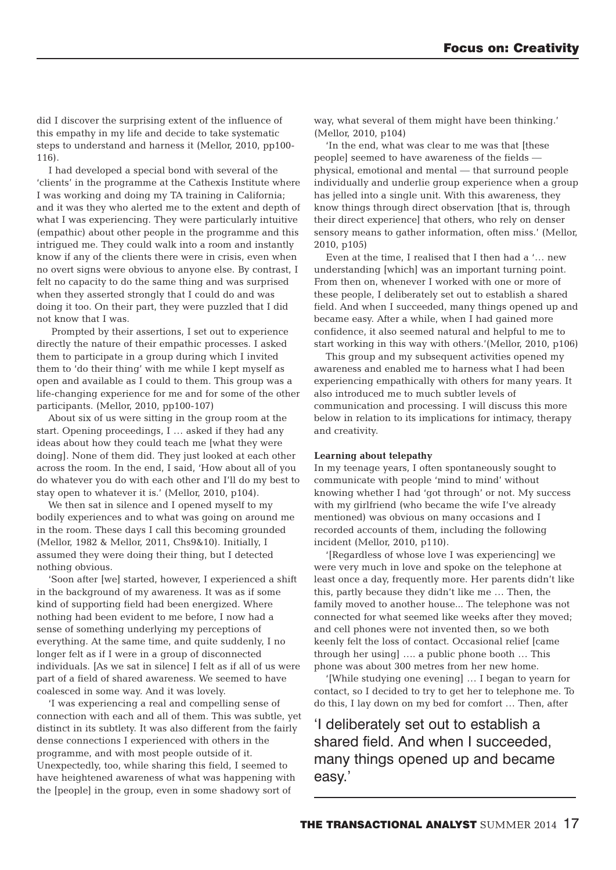did I discover the surprising extent of the influence of this empathy in my life and decide to take systematic steps to understand and harness it (Mellor, 2010, pp100- 116).

I had developed a special bond with several of the 'clients' in the programme at the Cathexis Institute where I was working and doing my TA training in California; and it was they who alerted me to the extent and depth of what I was experiencing. They were particularly intuitive (empathic) about other people in the programme and this intrigued me. They could walk into a room and instantly know if any of the clients there were in crisis, even when no overt signs were obvious to anyone else. By contrast, I felt no capacity to do the same thing and was surprised when they asserted strongly that I could do and was doing it too. On their part, they were puzzled that I did not know that I was.

Prompted by their assertions, I set out to experience directly the nature of their empathic processes. I asked them to participate in a group during which I invited them to 'do their thing' with me while I kept myself as open and available as I could to them. This group was a life-changing experience for me and for some of the other participants. (Mellor, 2010, pp100-107)

About six of us were sitting in the group room at the start. Opening proceedings, I … asked if they had any ideas about how they could teach me [what they were doing]. None of them did. They just looked at each other across the room. In the end, I said, 'How about all of you do whatever you do with each other and I'll do my best to stay open to whatever it is.' (Mellor, 2010, p104).

We then sat in silence and I opened myself to my bodily experiences and to what was going on around me in the room. These days I call this becoming grounded (Mellor, 1982 & Mellor, 2011, Chs9&10). Initially, I assumed they were doing their thing, but I detected nothing obvious.

'Soon after [we] started, however, I experienced a shift in the background of my awareness. It was as if some kind of supporting field had been energized. Where nothing had been evident to me before, I now had a sense of something underlying my perceptions of everything. At the same time, and quite suddenly, I no longer felt as if I were in a group of disconnected individuals. [As we sat in silence] I felt as if all of us were part of a field of shared awareness. We seemed to have coalesced in some way. And it was lovely.

'I was experiencing a real and compelling sense of connection with each and all of them. This was subtle, yet distinct in its subtlety. It was also different from the fairly dense connections I experienced with others in the programme, and with most people outside of it. Unexpectedly, too, while sharing this field, I seemed to have heightened awareness of what was happening with the [people] in the group, even in some shadowy sort of

way, what several of them might have been thinking.' (Mellor, 2010, p104)

'In the end, what was clear to me was that [these people] seemed to have awareness of the fields physical, emotional and mental — that surround people individually and underlie group experience when a group has jelled into a single unit. With this awareness, they know things through direct observation [that is, through their direct experience] that others, who rely on denser sensory means to gather information, often miss.' (Mellor, 2010, p105)

Even at the time, I realised that I then had a '… new understanding [which] was an important turning point. From then on, whenever I worked with one or more of these people, I deliberately set out to establish a shared field. And when I succeeded, many things opened up and became easy. After a while, when I had gained more confidence, it also seemed natural and helpful to me to start working in this way with others.'(Mellor, 2010, p106)

This group and my subsequent activities opened my awareness and enabled me to harness what I had been experiencing empathically with others for many years. It also introduced me to much subtler levels of communication and processing. I will discuss this more below in relation to its implications for intimacy, therapy and creativity.

#### **Learning about telepathy**

In my teenage years, I often spontaneously sought to communicate with people 'mind to mind' without knowing whether I had 'got through' or not. My success with my girlfriend (who became the wife I've already mentioned) was obvious on many occasions and I recorded accounts of them, including the following incident (Mellor, 2010, p110).

'[Regardless of whose love I was experiencing] we were very much in love and spoke on the telephone at least once a day, frequently more. Her parents didn't like this, partly because they didn't like me … Then, the family moved to another house... The telephone was not connected for what seemed like weeks after they moved; and cell phones were not invented then, so we both keenly felt the loss of contact. Occasional relief [came through her using] …. a public phone booth … This phone was about 300 metres from her new home.

'[While studying one evening] … I began to yearn for contact, so I decided to try to get her to telephone me. To do this, I lay down on my bed for comfort … Then, after

'I deliberately set out to establish a shared field. And when I succeeded, many things opened up and became easy.'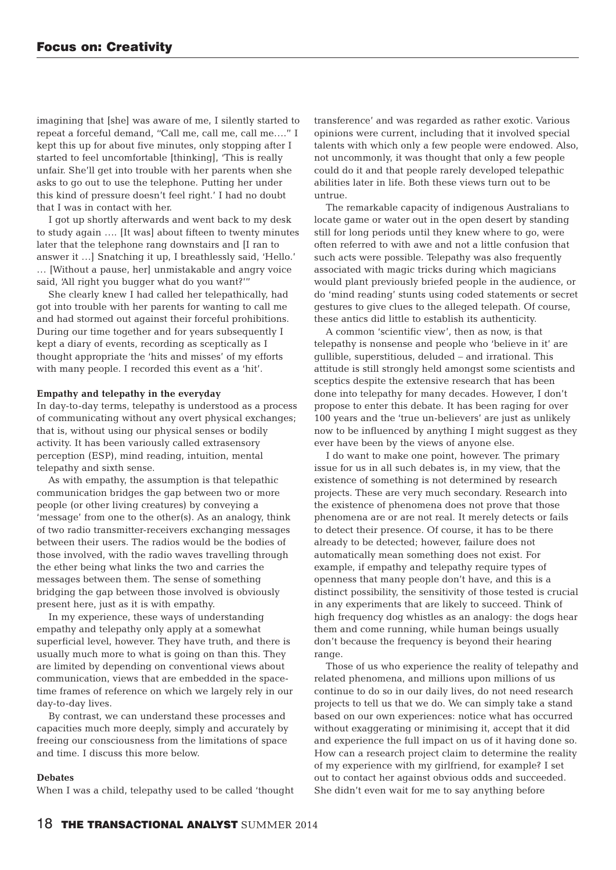imagining that [she] was aware of me, I silently started to repeat a forceful demand, "Call me, call me, call me…." I kept this up for about five minutes, only stopping after I started to feel uncomfortable [thinking], 'This is really unfair. She'll get into trouble with her parents when she asks to go out to use the telephone. Putting her under this kind of pressure doesn't feel right.' I had no doubt that I was in contact with her.

I got up shortly afterwards and went back to my desk to study again …. [It was] about fifteen to twenty minutes later that the telephone rang downstairs and [I ran to answer it …] Snatching it up, I breathlessly said, 'Hello.' … [Without a pause, her] unmistakable and angry voice said, 'All right you bugger what do you want?'"

She clearly knew I had called her telepathically, had got into trouble with her parents for wanting to call me and had stormed out against their forceful prohibitions. During our time together and for years subsequently I kept a diary of events, recording as sceptically as I thought appropriate the 'hits and misses' of my efforts with many people. I recorded this event as a 'hit'.

#### **Empathy and telepathy in the everyday**

In day-to-day terms, telepathy is understood as a process of communicating without any overt physical exchanges; that is, without using our physical senses or bodily activity. It has been variously called extrasensory perception (ESP), mind reading, intuition, mental telepathy and sixth sense.

As with empathy, the assumption is that telepathic communication bridges the gap between two or more people (or other living creatures) by conveying a 'message' from one to the other(s). As an analogy, think of two radio transmitter-receivers exchanging messages between their users. The radios would be the bodies of those involved, with the radio waves travelling through the ether being what links the two and carries the messages between them. The sense of something bridging the gap between those involved is obviously present here, just as it is with empathy.

In my experience, these ways of understanding empathy and telepathy only apply at a somewhat superficial level, however. They have truth, and there is usually much more to what is going on than this. They are limited by depending on conventional views about communication, views that are embedded in the spacetime frames of reference on which we largely rely in our day-to-day lives.

By contrast, we can understand these processes and capacities much more deeply, simply and accurately by freeing our consciousness from the limitations of space and time. I discuss this more below.

#### **Debates**

When I was a child, telepathy used to be called 'thought

transference' and was regarded as rather exotic. Various opinions were current, including that it involved special talents with which only a few people were endowed. Also, not uncommonly, it was thought that only a few people could do it and that people rarely developed telepathic abilities later in life. Both these views turn out to be untrue.

The remarkable capacity of indigenous Australians to locate game or water out in the open desert by standing still for long periods until they knew where to go, were often referred to with awe and not a little confusion that such acts were possible. Telepathy was also frequently associated with magic tricks during which magicians would plant previously briefed people in the audience, or do 'mind reading' stunts using coded statements or secret gestures to give clues to the alleged telepath. Of course, these antics did little to establish its authenticity.

A common 'scientific view', then as now, is that telepathy is nonsense and people who 'believe in it' are gullible, superstitious, deluded – and irrational. This attitude is still strongly held amongst some scientists and sceptics despite the extensive research that has been done into telepathy for many decades. However, I don't propose to enter this debate. It has been raging for over 100 years and the 'true un-believers' are just as unlikely now to be influenced by anything I might suggest as they ever have been by the views of anyone else.

I do want to make one point, however. The primary issue for us in all such debates is, in my view, that the existence of something is not determined by research projects. These are very much secondary. Research into the existence of phenomena does not prove that those phenomena are or are not real. It merely detects or fails to detect their presence. Of course, it has to be there already to be detected; however, failure does not automatically mean something does not exist. For example, if empathy and telepathy require types of openness that many people don't have, and this is a distinct possibility, the sensitivity of those tested is crucial in any experiments that are likely to succeed. Think of high frequency dog whistles as an analogy: the dogs hear them and come running, while human beings usually don't because the frequency is beyond their hearing range.

Those of us who experience the reality of telepathy and related phenomena, and millions upon millions of us continue to do so in our daily lives, do not need research projects to tell us that we do. We can simply take a stand based on our own experiences: notice what has occurred without exaggerating or minimising it, accept that it did and experience the full impact on us of it having done so. How can a research project claim to determine the reality of my experience with my girlfriend, for example? I set out to contact her against obvious odds and succeeded. She didn't even wait for me to say anything before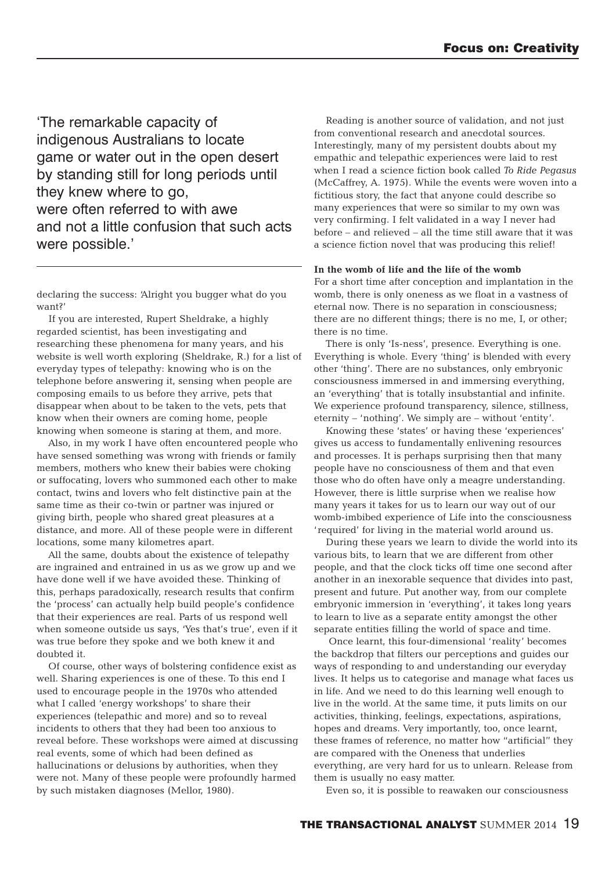'The remarkable capacity of indigenous Australians to locate game or water out in the open desert by standing still for long periods until they knew where to go, were often referred to with awe and not a little confusion that such acts were possible.'

declaring the success: 'Alright you bugger what do you want?'

If you are interested, Rupert Sheldrake, a highly regarded scientist, has been investigating and researching these phenomena for many years, and his website is well worth exploring (Sheldrake, R.) for a list of everyday types of telepathy: knowing who is on the telephone before answering it, sensing when people are composing emails to us before they arrive, pets that disappear when about to be taken to the vets, pets that know when their owners are coming home, people knowing when someone is staring at them, and more.

Also, in my work I have often encountered people who have sensed something was wrong with friends or family members, mothers who knew their babies were choking or suffocating, lovers who summoned each other to make contact, twins and lovers who felt distinctive pain at the same time as their co-twin or partner was injured or giving birth, people who shared great pleasures at a distance, and more. All of these people were in different locations, some many kilometres apart.

All the same, doubts about the existence of telepathy are ingrained and entrained in us as we grow up and we have done well if we have avoided these. Thinking of this, perhaps paradoxically, research results that confirm the 'process' can actually help build people's confidence that their experiences are real. Parts of us respond well when someone outside us says, 'Yes that's true', even if it was true before they spoke and we both knew it and doubted it.

Of course, other ways of bolstering confidence exist as well. Sharing experiences is one of these. To this end I used to encourage people in the 1970s who attended what I called 'energy workshops' to share their experiences (telepathic and more) and so to reveal incidents to others that they had been too anxious to reveal before. These workshops were aimed at discussing real events, some of which had been defined as hallucinations or delusions by authorities, when they were not. Many of these people were profoundly harmed by such mistaken diagnoses (Mellor, 1980).

Reading is another source of validation, and not just from conventional research and anecdotal sources. Interestingly, many of my persistent doubts about my empathic and telepathic experiences were laid to rest when I read a science fiction book called *To Ride Pegasus* (McCaffrey, A. 1975). While the events were woven into a fictitious story, the fact that anyone could describe so many experiences that were so similar to my own was very confirming. I felt validated in a way I never had before – and relieved – all the time still aware that it was a science fiction novel that was producing this relief!

#### **In the womb of life and the life of the womb**

For a short time after conception and implantation in the womb, there is only oneness as we float in a vastness of eternal now. There is no separation in consciousness; there are no different things; there is no me, I, or other; there is no time.

There is only 'Is-ness', presence. Everything is one. Everything is whole. Every 'thing' is blended with every other 'thing'. There are no substances, only embryonic consciousness immersed in and immersing everything, an 'everything' that is totally insubstantial and infinite. We experience profound transparency, silence, stillness, eternity – 'nothing'. We simply are – without 'entity'.

Knowing these 'states' or having these 'experiences' gives us access to fundamentally enlivening resources and processes. It is perhaps surprising then that many people have no consciousness of them and that even those who do often have only a meagre understanding. However, there is little surprise when we realise how many years it takes for us to learn our way out of our womb-imbibed experience of Life into the consciousness 'required' for living in the material world around us.

During these years we learn to divide the world into its various bits, to learn that we are different from other people, and that the clock ticks off time one second after another in an inexorable sequence that divides into past, present and future. Put another way, from our complete embryonic immersion in 'everything', it takes long years to learn to live as a separate entity amongst the other separate entities filling the world of space and time.

Once learnt, this four-dimensional 'reality' becomes the backdrop that filters our perceptions and guides our ways of responding to and understanding our everyday lives. It helps us to categorise and manage what faces us in life. And we need to do this learning well enough to live in the world. At the same time, it puts limits on our activities, thinking, feelings, expectations, aspirations, hopes and dreams. Very importantly, too, once learnt, these frames of reference, no matter how "artificial" they are compared with the Oneness that underlies everything, are very hard for us to unlearn. Release from them is usually no easy matter.

Even so, it is possible to reawaken our consciousness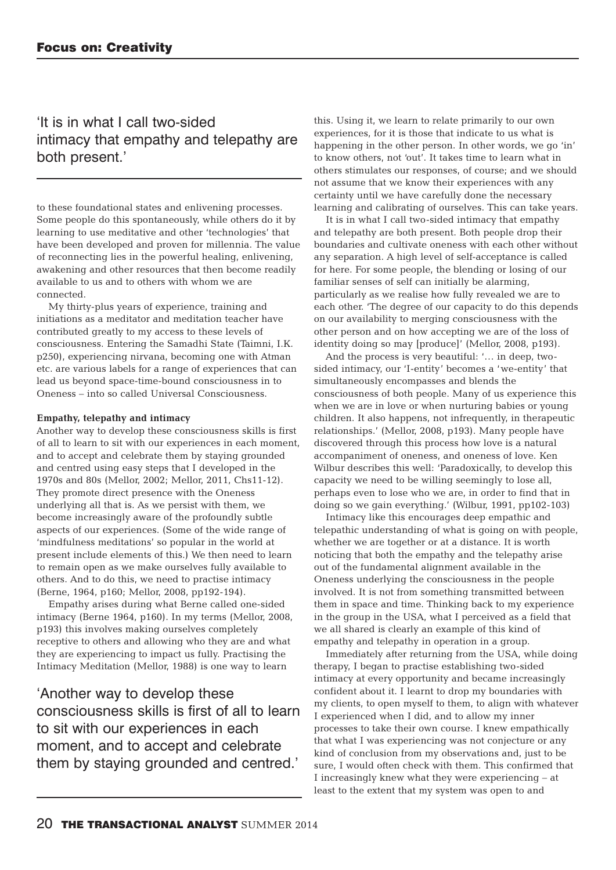## 'It is in what I call two-sided intimacy that empathy and telepathy are both present.'

to these foundational states and enlivening processes. Some people do this spontaneously, while others do it by learning to use meditative and other 'technologies' that have been developed and proven for millennia. The value of reconnecting lies in the powerful healing, enlivening, awakening and other resources that then become readily available to us and to others with whom we are connected.

My thirty-plus years of experience, training and initiations as a meditator and meditation teacher have contributed greatly to my access to these levels of consciousness. Entering the Samadhi State (Taimni, I.K. p250), experiencing nirvana, becoming one with Atman etc. are various labels for a range of experiences that can lead us beyond space-time-bound consciousness in to Oneness – into so called Universal Consciousness.

#### **Empathy, telepathy and intimacy**

Another way to develop these consciousness skills is first of all to learn to sit with our experiences in each moment, and to accept and celebrate them by staying grounded and centred using easy steps that I developed in the 1970s and 80s (Mellor, 2002; Mellor, 2011, Chs11-12). They promote direct presence with the Oneness underlying all that is. As we persist with them, we become increasingly aware of the profoundly subtle aspects of our experiences. (Some of the wide range of 'mindfulness meditations' so popular in the world at present include elements of this.) We then need to learn to remain open as we make ourselves fully available to others. And to do this, we need to practise intimacy (Berne, 1964, p160; Mellor, 2008, pp192-194).

Empathy arises during what Berne called one-sided intimacy (Berne 1964, p160). In my terms (Mellor, 2008, p193) this involves making ourselves completely receptive to others and allowing who they are and what they are experiencing to impact us fully. Practising the Intimacy Meditation (Mellor, 1988) is one way to learn

'Another way to develop these consciousness skills is first of all to learn to sit with our experiences in each moment, and to accept and celebrate them by staying grounded and centred.'

this. Using it, we learn to relate primarily to our own experiences, for it is those that indicate to us what is happening in the other person. In other words, we go 'in' to know others, not 'out'. It takes time to learn what in others stimulates our responses, of course; and we should not assume that we know their experiences with any certainty until we have carefully done the necessary learning and calibrating of ourselves. This can take years.

It is in what I call two-sided intimacy that empathy and telepathy are both present. Both people drop their boundaries and cultivate oneness with each other without any separation. A high level of self-acceptance is called for here. For some people, the blending or losing of our familiar senses of self can initially be alarming, particularly as we realise how fully revealed we are to each other. 'The degree of our capacity to do this depends on our availability to merging consciousness with the other person and on how accepting we are of the loss of identity doing so may [produce]' (Mellor, 2008, p193).

And the process is very beautiful: '… in deep, twosided intimacy, our 'I-entity' becomes a 'we-entity' that simultaneously encompasses and blends the consciousness of both people. Many of us experience this when we are in love or when nurturing babies or young children. It also happens, not infrequently, in therapeutic relationships.' (Mellor, 2008, p193). Many people have discovered through this process how love is a natural accompaniment of oneness, and oneness of love. Ken Wilbur describes this well: 'Paradoxically, to develop this capacity we need to be willing seemingly to lose all, perhaps even to lose who we are, in order to find that in doing so we gain everything.' (Wilbur, 1991, pp102-103)

Intimacy like this encourages deep empathic and telepathic understanding of what is going on with people, whether we are together or at a distance. It is worth noticing that both the empathy and the telepathy arise out of the fundamental alignment available in the Oneness underlying the consciousness in the people involved. It is not from something transmitted between them in space and time. Thinking back to my experience in the group in the USA, what I perceived as a field that we all shared is clearly an example of this kind of empathy and telepathy in operation in a group.

Immediately after returning from the USA, while doing therapy, I began to practise establishing two-sided intimacy at every opportunity and became increasingly confident about it. I learnt to drop my boundaries with my clients, to open myself to them, to align with whatever I experienced when I did, and to allow my inner processes to take their own course. I knew empathically that what I was experiencing was not conjecture or any kind of conclusion from my observations and, just to be sure, I would often check with them. This confirmed that I increasingly knew what they were experiencing – at least to the extent that my system was open to and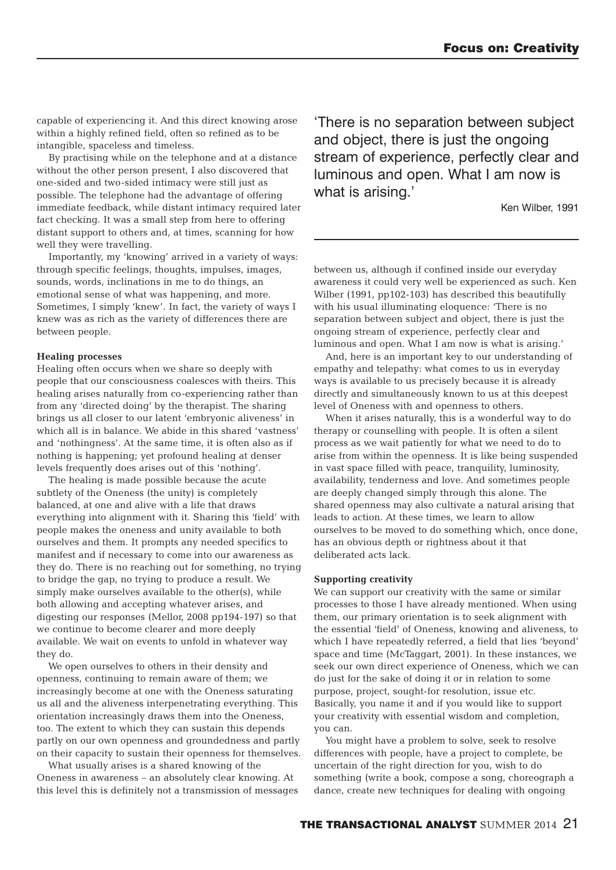capable of experiencing it. And this direct knowing arose within a highly refined field, often so refined as to be intangible, spaceless and timeless.

By practising while on the telephone and at a distance without the other person present, I also discovered that one-sided and two-sided intimacy were still just as possible. The telephone had the advantage of offering immediate feedback, while distant intimacy required later fact checking. It was a small step from here to offering distant support to others and, at times, scanning for how well they were travelling.

Importantly, my 'knowing' arrived in a variety of ways: through specific feelings, thoughts, impulses, images, sounds, words, inclinations in me to do things, an emotional sense of what was happening, and more. Sometimes, I simply 'knew'. In fact, the variety of ways I knew was as rich as the variety of differences there are between people.

#### **Healing processes**

Healing often occurs when we share so deeply with people that our consciousness coalesces with theirs. This healing arises naturally from co-experiencing rather than from any 'directed doing' by the therapist. The sharing brings us all closer to our latent 'embryonic aliveness' in which all is in balance. We abide in this shared 'vastness' and 'nothingness'. At the same time, it is often also as if nothing is happening; yet profound healing at denser levels frequently does arises out of this 'nothing'.

The healing is made possible because the acute subtlety of the Oneness (the unity) is completely balanced, at one and alive with a life that draws everything into alignment with it. Sharing this 'field' with people makes the oneness and unity available to both ourselves and them. It prompts any needed specifics to manifest and if necessary to come into our awareness as they do. There is no reaching out for something, no trying to bridge the gap, no trying to produce a result. We simply make ourselves available to the other(s), while both allowing and accepting whatever arises, and digesting our responses (Mellor, 2008 pp194-197) so that we continue to become clearer and more deeply available. We wait on events to unfold in whatever way they do.

We open ourselves to others in their density and openness, continuing to remain aware of them; we increasingly become at one with the Oneness saturating us all and the aliveness interpenetrating everything. This orientation increasingly draws them into the Oneness, too. The extent to which they can sustain this depends partly on our own openness and groundedness and partly on their capacity to sustain their openness for themselves.

What usually arises is a shared knowing of the Oneness in awareness – an absolutely clear knowing. At this level this is definitely not a transmission of messages 'There is no separation between subject and object, there is just the ongoing stream of experience, perfectly clear and luminous and open. What I am now is what is arising.'

Ken Wilber, 1991

between us, although if confined inside our everyday awareness it could very well be experienced as such. Ken Wilber (1991, pp102-103) has described this beautifully with his usual illuminating eloquence: 'There is no separation between subject and object, there is just the ongoing stream of experience, perfectly clear and luminous and open. What I am now is what is arising.'

And, here is an important key to our understanding of empathy and telepathy: what comes to us in everyday ways is available to us precisely because it is already directly and simultaneously known to us at this deepest level of Oneness with and openness to others.

When it arises naturally, this is a wonderful way to do therapy or counselling with people. It is often a silent process as we wait patiently for what we need to do to arise from within the openness. It is like being suspended in vast space filled with peace, tranquility, luminosity, availability, tenderness and love. And sometimes people are deeply changed simply through this alone. The shared openness may also cultivate a natural arising that leads to action. At these times, we learn to allow ourselves to be moved to do something which, once done, has an obvious depth or rightness about it that deliberated acts lack.

#### **Supporting creativity**

We can support our creativity with the same or similar processes to those I have already mentioned. When using them, our primary orientation is to seek alignment with the essential 'field' of Oneness, knowing and aliveness, to which I have repeatedly referred, a field that lies 'beyond' space and time (McTaggart, 2001). In these instances, we seek our own direct experience of Oneness, which we can do just for the sake of doing it or in relation to some purpose, project, sought-for resolution, issue etc. Basically, you name it and if you would like to support your creativity with essential wisdom and completion, you can.

You might have a problem to solve, seek to resolve differences with people, have a project to complete, be uncertain of the right direction for you, wish to do something (write a book, compose a song, choreograph a dance, create new techniques for dealing with ongoing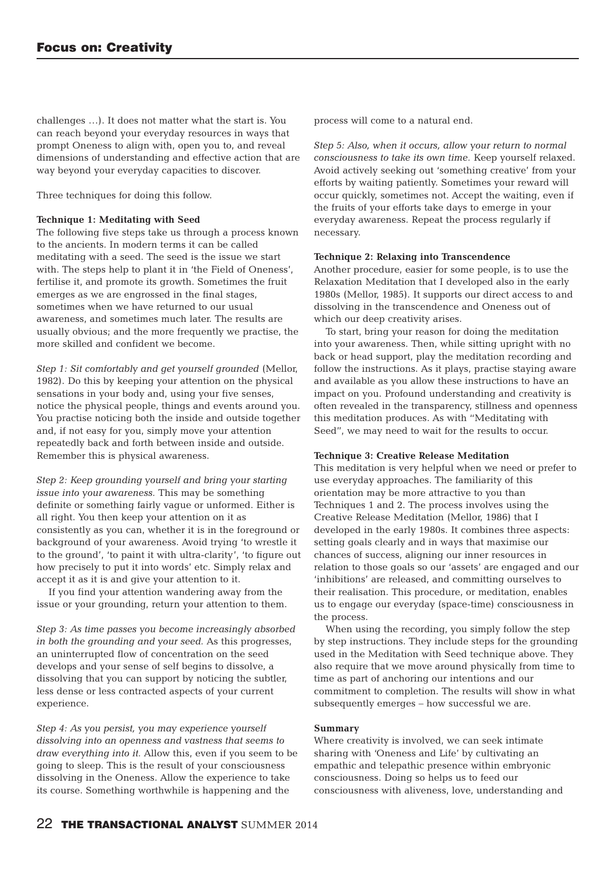challenges …). It does not matter what the start is. You can reach beyond your everyday resources in ways that prompt Oneness to align with, open you to, and reveal dimensions of understanding and effective action that are way beyond your everyday capacities to discover.

Three techniques for doing this follow.

#### **Technique 1: Meditating with Seed**

The following five steps take us through a process known to the ancients. In modern terms it can be called meditating with a seed. The seed is the issue we start with. The steps help to plant it in 'the Field of Oneness', fertilise it, and promote its growth. Sometimes the fruit emerges as we are engrossed in the final stages, sometimes when we have returned to our usual awareness, and sometimes much later. The results are usually obvious; and the more frequently we practise, the more skilled and confident we become.

*Step 1: Sit comfortably and get yourself grounded* (Mellor, 1982). Do this by keeping your attention on the physical sensations in your body and, using your five senses, notice the physical people, things and events around you. You practise noticing both the inside and outside together and, if not easy for you, simply move your attention repeatedly back and forth between inside and outside. Remember this is physical awareness.

*Step 2: Keep grounding yourself and bring your starting issue into your awareness.* This may be something definite or something fairly vague or unformed. Either is all right. You then keep your attention on it as consistently as you can, whether it is in the foreground or background of your awareness. Avoid trying 'to wrestle it to the ground', 'to paint it with ultra-clarity', 'to figure out how precisely to put it into words' etc. Simply relax and accept it as it is and give your attention to it.

If you find your attention wandering away from the issue or your grounding, return your attention to them.

*Step 3: As time passes you become increasingly absorbed in both the grounding and your seed.* As this progresses, an uninterrupted flow of concentration on the seed develops and your sense of self begins to dissolve, a dissolving that you can support by noticing the subtler, less dense or less contracted aspects of your current experience.

*Step 4: As you persist, you may experience yourself dissolving into an openness and vastness that seems to draw everything into it.* Allow this, even if you seem to be going to sleep. This is the result of your consciousness dissolving in the Oneness. Allow the experience to take its course. Something worthwhile is happening and the

process will come to a natural end.

*Step 5: Also, when it occurs, allow your return to normal consciousness to take its own time.* Keep yourself relaxed. Avoid actively seeking out 'something creative' from your efforts by waiting patiently. Sometimes your reward will occur quickly, sometimes not. Accept the waiting, even if the fruits of your efforts take days to emerge in your everyday awareness. Repeat the process regularly if necessary.

#### **Technique 2: Relaxing into Transcendence**

Another procedure, easier for some people, is to use the Relaxation Meditation that I developed also in the early 1980s (Mellor, 1985). It supports our direct access to and dissolving in the transcendence and Oneness out of which our deep creativity arises.

To start, bring your reason for doing the meditation into your awareness. Then, while sitting upright with no back or head support, play the meditation recording and follow the instructions. As it plays, practise staying aware and available as you allow these instructions to have an impact on you. Profound understanding and creativity is often revealed in the transparency, stillness and openness this meditation produces. As with "Meditating with Seed", we may need to wait for the results to occur.

#### **Technique 3: Creative Release Meditation**

This meditation is very helpful when we need or prefer to use everyday approaches. The familiarity of this orientation may be more attractive to you than Techniques 1 and 2. The process involves using the Creative Release Meditation (Mellor, 1986) that I developed in the early 1980s. It combines three aspects: setting goals clearly and in ways that maximise our chances of success, aligning our inner resources in relation to those goals so our 'assets' are engaged and our 'inhibitions' are released, and committing ourselves to their realisation. This procedure, or meditation, enables us to engage our everyday (space-time) consciousness in the process.

When using the recording, you simply follow the step by step instructions. They include steps for the grounding used in the Meditation with Seed technique above. They also require that we move around physically from time to time as part of anchoring our intentions and our commitment to completion. The results will show in what subsequently emerges – how successful we are.

#### **Summary**

Where creativity is involved, we can seek intimate sharing with 'Oneness and Life' by cultivating an empathic and telepathic presence within embryonic consciousness. Doing so helps us to feed our consciousness with aliveness, love, understanding and